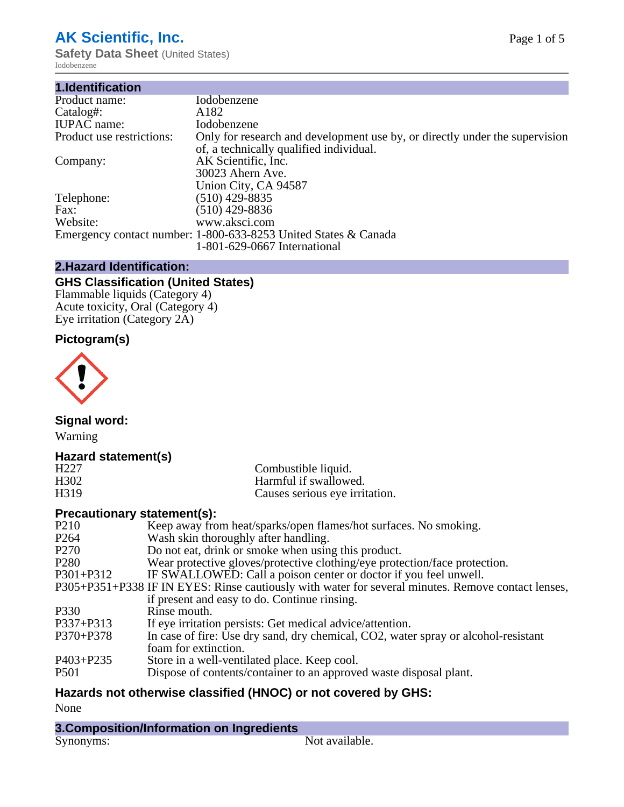# **AK Scientific, Inc.**

**Safety Data Sheet (United States)** Iodobenzene

| 1.Identification          |                                                                                                                        |
|---------------------------|------------------------------------------------------------------------------------------------------------------------|
| Product name:             | Iodobenzene                                                                                                            |
| Catalog#:                 | A182                                                                                                                   |
| <b>IUPAC</b> name:        | Iodobenzene                                                                                                            |
| Product use restrictions: | Only for research and development use by, or directly under the supervision<br>of, a technically qualified individual. |
| Company:                  | AK Scientific, Inc.<br>30023 Ahern Ave.<br>Union City, CA 94587                                                        |
| Telephone:                | (510) 429-8835                                                                                                         |
| Fax:                      | (510) 429-8836                                                                                                         |
| Website:                  | www.aksci.com                                                                                                          |
|                           | Emergency contact number: 1-800-633-8253 United States & Canada<br>1-801-629-0667 International                        |

## **2.Hazard Identification:**

# **GHS Classification (United States)**

Flammable liquids (Category 4) Acute toxicity, Oral (Category 4) Eye irritation (Category 2A)

# **Pictogram(s)**



**Signal word:**

Warning

## **Hazard statement(s)**

| H <sub>227</sub> | Combustible liquid.            |
|------------------|--------------------------------|
| H302             | Harmful if swallowed.          |
| H319             | Causes serious eye irritation. |

## **Precautionary statement(s):**

| P <sub>210</sub> | Keep away from heat/sparks/open flames/hot surfaces. No smoking.                                   |
|------------------|----------------------------------------------------------------------------------------------------|
| P <sub>264</sub> | Wash skin thoroughly after handling.                                                               |
| P <sub>270</sub> | Do not eat, drink or smoke when using this product.                                                |
| P <sub>280</sub> | Wear protective gloves/protective clothing/eye protection/face protection.                         |
| $P301 + P312$    | IF SWALLOWED: Call a poison center or doctor if you feel unwell.                                   |
|                  | P305+P351+P338 IF IN EYES: Rinse cautiously with water for several minutes. Remove contact lenses, |
|                  | if present and easy to do. Continue rinsing.                                                       |
| P330             | Rinse mouth.                                                                                       |
| P337+P313        | If eye irritation persists: Get medical advice/attention.                                          |
| P370+P378        | In case of fire: Use dry sand, dry chemical, CO2, water spray or alcohol-resistant                 |
|                  | foam for extinction.                                                                               |
| P403+P235        | Store in a well-ventilated place. Keep cool.                                                       |
| <b>P501</b>      | Dispose of contents/container to an approved waste disposal plant.                                 |
|                  |                                                                                                    |

# **Hazards not otherwise classified (HNOC) or not covered by GHS:**

None

**3.Composition/Information on Ingredients**

Not available.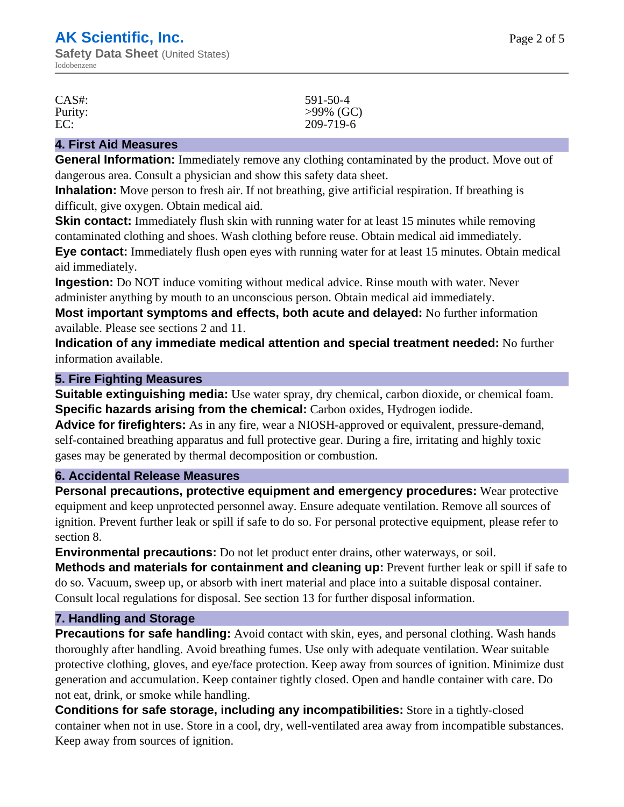| CAS#:   | 591-50-4     |
|---------|--------------|
| Purity: | $>99\%$ (GC) |
| EC:     | 209-719-6    |

### **4. First Aid Measures**

**General Information:** Immediately remove any clothing contaminated by the product. Move out of dangerous area. Consult a physician and show this safety data sheet.

**Inhalation:** Move person to fresh air. If not breathing, give artificial respiration. If breathing is difficult, give oxygen. Obtain medical aid.

**Skin contact:** Immediately flush skin with running water for at least 15 minutes while removing contaminated clothing and shoes. Wash clothing before reuse. Obtain medical aid immediately.

**Eye contact:** Immediately flush open eyes with running water for at least 15 minutes. Obtain medical aid immediately.

**Ingestion:** Do NOT induce vomiting without medical advice. Rinse mouth with water. Never administer anything by mouth to an unconscious person. Obtain medical aid immediately.

**Most important symptoms and effects, both acute and delayed:** No further information available. Please see sections 2 and 11.

**Indication of any immediate medical attention and special treatment needed:** No further information available.

## **5. Fire Fighting Measures**

**Suitable extinguishing media:** Use water spray, dry chemical, carbon dioxide, or chemical foam. **Specific hazards arising from the chemical:** Carbon oxides, Hydrogen iodide.

**Advice for firefighters:** As in any fire, wear a NIOSH-approved or equivalent, pressure-demand, self-contained breathing apparatus and full protective gear. During a fire, irritating and highly toxic gases may be generated by thermal decomposition or combustion.

## **6. Accidental Release Measures**

**Personal precautions, protective equipment and emergency procedures:** Wear protective equipment and keep unprotected personnel away. Ensure adequate ventilation. Remove all sources of ignition. Prevent further leak or spill if safe to do so. For personal protective equipment, please refer to section 8.

**Environmental precautions:** Do not let product enter drains, other waterways, or soil. **Methods and materials for containment and cleaning up:** Prevent further leak or spill if safe to do so. Vacuum, sweep up, or absorb with inert material and place into a suitable disposal container.

Consult local regulations for disposal. See section 13 for further disposal information.

### **7. Handling and Storage**

**Precautions for safe handling:** Avoid contact with skin, eyes, and personal clothing. Wash hands thoroughly after handling. Avoid breathing fumes. Use only with adequate ventilation. Wear suitable protective clothing, gloves, and eye/face protection. Keep away from sources of ignition. Minimize dust generation and accumulation. Keep container tightly closed. Open and handle container with care. Do not eat, drink, or smoke while handling.

**Conditions for safe storage, including any incompatibilities:** Store in a tightly-closed container when not in use. Store in a cool, dry, well-ventilated area away from incompatible substances. Keep away from sources of ignition.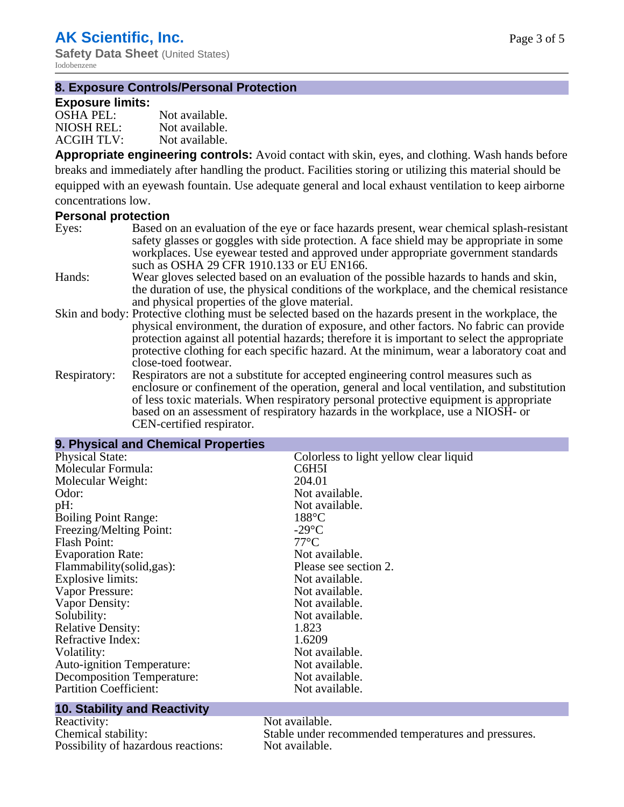**Safety Data Sheet** (United States) Iodobenzene

## **8. Exposure Controls/Personal Protection**

## **Exposure limits:**

| <b>OSHA PEL:</b>  | Not available. |
|-------------------|----------------|
| NIOSH REL:        | Not available. |
| <b>ACGIH TLV:</b> | Not available. |

**Appropriate engineering controls:** Avoid contact with skin, eyes, and clothing. Wash hands before breaks and immediately after handling the product. Facilities storing or utilizing this material should be equipped with an eyewash fountain. Use adequate general and local exhaust ventilation to keep airborne concentrations low.

#### **Personal protection**

- Eyes: Based on an evaluation of the eye or face hazards present, wear chemical splash-resistant safety glasses or goggles with side protection. A face shield may be appropriate in some workplaces. Use eyewear tested and approved under appropriate government standards such as OSHA 29 CFR 1910.133 or EU EN166.
- Hands: Wear gloves selected based on an evaluation of the possible hazards to hands and skin, the duration of use, the physical conditions of the workplace, and the chemical resistance and physical properties of the glove material.
- Skin and body: Protective clothing must be selected based on the hazards present in the workplace, the physical environment, the duration of exposure, and other factors. No fabric can provide protection against all potential hazards; therefore it is important to select the appropriate protective clothing for each specific hazard. At the minimum, wear a laboratory coat and close-toed footwear.
- Respiratory: Respirators are not a substitute for accepted engineering control measures such as enclosure or confinement of the operation, general and local ventilation, and substitution of less toxic materials. When respiratory personal protective equipment is appropriate based on an assessment of respiratory hazards in the workplace, use a NIOSH- or CEN-certified respirator.

#### **9. Physical and Chemical Properties** Colorless to light yellow clear liquid Molecular Formula: C6H5I<br>
Molecular Weight: 204.01 Molecular Weight:<br>Odor: Not available. pH: Not available.<br>Boiling Point Range: 188°C Boiling Point Range: Freezing/Melting Point:  $-29^{\circ}\text{C}$ <br>Flash Point:  $77^{\circ}\text{C}$ Flash Point: 77°C<br>Evaporation Rate: 77°C<br>Not available. Evaporation Rate:<br>
Flammability(solid.gas): Please see section 2. Flammability(solid,gas):<br>
Explosive limits:<br>
Not available. Explosive limits: Vapor Pressure: Not available. Vapor Density: Not available. Solubility: Not available.<br>
Relative Density: 1.823 Relative Density: 1.823<br>Refractive Index: 1.6209 Refractive Index: Volatility: Not available. Auto-ignition Temperature: Not available. Decomposition Temperature: Not available.<br>
Partition Coefficient: Not available. Partition Coefficient:

#### **10. Stability and Reactivity**

Reactivity: Not available.<br>
Chemical stability: Stable under re Possibility of hazardous reactions: Not available.

Stable under recommended temperatures and pressures.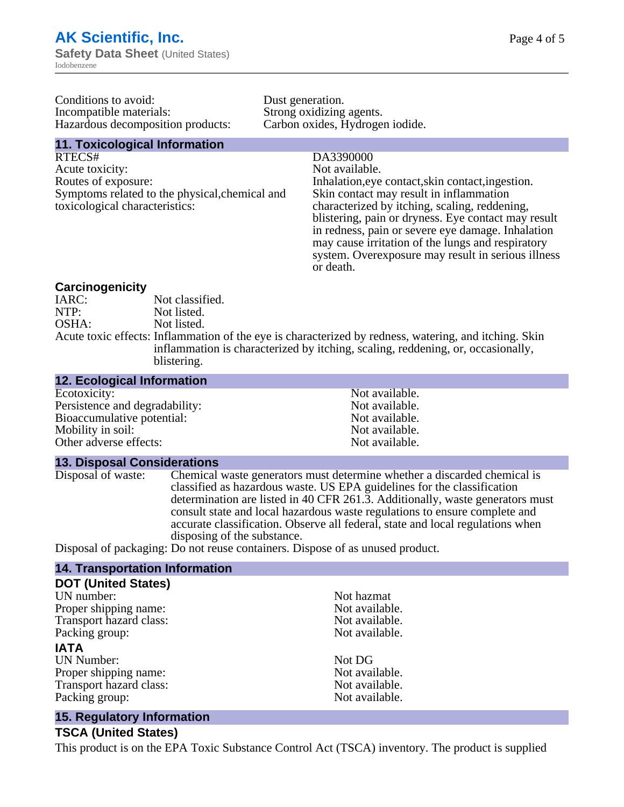Conditions to avoid: Dust generation. Incompatible materials: Strong oxidizing agents.<br>
Hazardous decomposition products: Carbon oxides, Hydrogen iodide. Hazardous decomposition products:

#### **11. Toxicological Information**

RTECS# DA3390000 Acute toxicity: Not available. Routes of exposure: Inhalation,eye contact,skin contact,ingestion. Symptoms related to the physical,chemical and toxicological characteristics:

Skin contact may result in inflammation characterized by itching, scaling, reddening, blistering, pain or dryness. Eye contact may result in redness, pain or severe eye damage. Inhalation may cause irritation of the lungs and respiratory system. Overexposure may result in serious illness or death.

#### **Carcinogenicity**

| IARC: | Not classified.                                                                                       |
|-------|-------------------------------------------------------------------------------------------------------|
| NTP:  | Not listed.                                                                                           |
| OSHA: | Not listed.                                                                                           |
|       | Acute toxic effects: Inflammation of the eye is characterized by redness, watering, and itching. Skin |
|       | inflammation is characterized by itching, scaling, reddening, or, occasionally,                       |
|       | blistering.                                                                                           |

| <b>12. Ecological Information</b> |                |
|-----------------------------------|----------------|
| Ecotoxicity:                      | Not available. |
| Persistence and degradability:    | Not available. |
| Bioaccumulative potential:        | Not available. |
| Mobility in soil:                 | Not available. |
| Other adverse effects:            | Not available. |

#### **13. Disposal Considerations**

Disposal of waste: Chemical waste generators must determine whether a discarded chemical is classified as hazardous waste. US EPA guidelines for the classification determination are listed in 40 CFR 261.3. Additionally, waste generators must consult state and local hazardous waste regulations to ensure complete and accurate classification. Observe all federal, state and local regulations when disposing of the substance.

Disposal of packaging: Do not reuse containers. Dispose of as unused product.

#### **14. Transportation Information**

| <b>DOT (United States)</b> |                |
|----------------------------|----------------|
| UN number:                 | Not hazmat     |
| Proper shipping name:      | Not available. |
| Transport hazard class:    | Not available. |
| Packing group:             | Not available. |
| <b>IATA</b>                |                |
| <b>UN Number:</b>          | Not DG         |
| Proper shipping name:      | Not available. |
| Transport hazard class:    | Not available. |
| Packing group:             | Not available. |

## **15. Regulatory Information**

#### **TSCA (United States)**

This product is on the EPA Toxic Substance Control Act (TSCA) inventory. The product is supplied